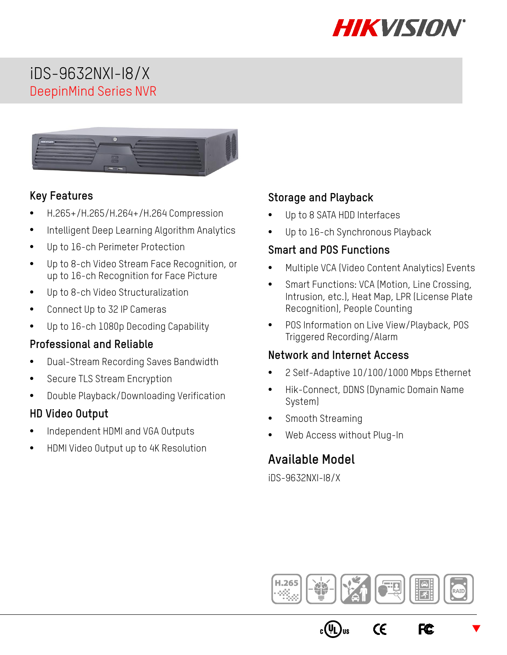

# iDS-9632NXI-I8/X DeepinMind Series NVR



### **Key Features**

- H.265+/H.265/H.264+/H.264 Compression
- Intelligent Deep Learning Algorithm Analytics
- Up to 16-ch Perimeter Protection
- Up to 8-ch Video Stream Face Recognition, or up to 16-ch Recognition for Face Picture
- Up to 8-ch Video Structuralization
- Connect Up to 32 IP Cameras
- Up to 16-ch 1080p Decoding Capability

### **Professional and Reliable**

- Dual-Stream Recording Saves Bandwidth
- Secure TLS Stream Encryption
- Double Playback/Downloading Verification

### **HD Video Output**

- Independent HDMI and VGA Outputs
- HDMI Video Output up to 4K Resolution

### **Storage and Playback**

- Up to 8 SATA HDD Interfaces
- Up to 16-ch Synchronous Playback

#### **Smart and POS Functions**

- Multiple VCA (Video Content Analytics) Events
- Smart Functions: VCA (Motion, Line Crossing, Intrusion, etc.), Heat Map, LPR (License Plate Recognition), People Counting
- POS Information on Live View/Playback, POS Triggered Recording/Alarm

#### **Network and Internet Access**

- 2 Self-Adaptive 10/100/1000 Mbps Ethernet
- Hik-Connect, DDNS (Dynamic Domain Name System)
- Smooth Streaming
- Web Access without Plug-In

### **Available Model**

iDS-9632NXI-I8/X



 $\epsilon$ 

 $\blacktriangledown$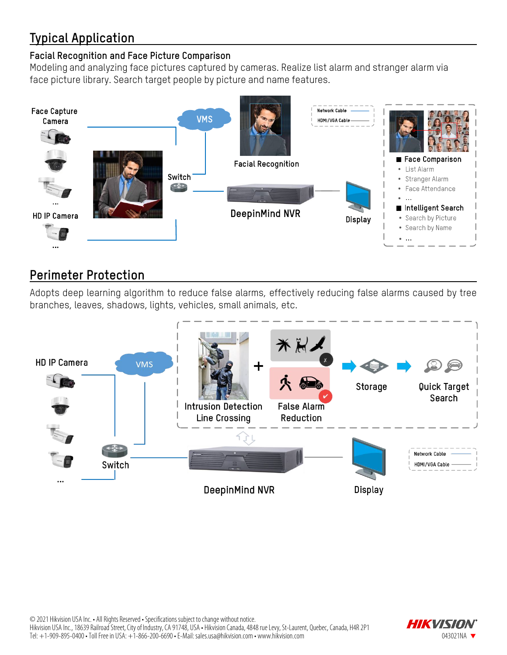# **Typical Application**

#### **Facial Recognition and Face Picture Comparison**

Modeling and analyzing face pictures captured by cameras. Realize list alarm and stranger alarm via face picture library. Search target people by picture and name features.



# **Perimeter Protection**

Adopts deep learning algorithm to reduce false alarms, effectively reducing false alarms caused by tree branches, leaves, shadows, lights, vehicles, small animals, etc.



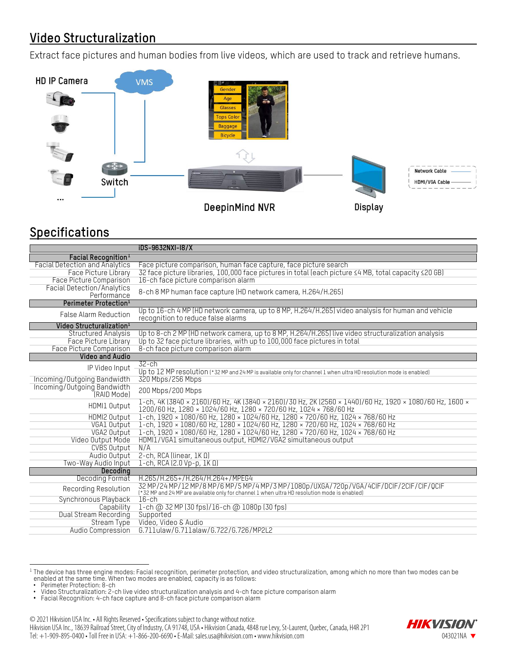# **Video Structuralization**

Extract face pictures and human bodies from live videos, which are used to track and retrieve humans.



# **Specifications**

|                                                            | iDS-9632NXI-I8/X                                                                                                                                                             |  |  |  |
|------------------------------------------------------------|------------------------------------------------------------------------------------------------------------------------------------------------------------------------------|--|--|--|
| Facial Recognition <sup>1</sup>                            |                                                                                                                                                                              |  |  |  |
| <b>Facial Detection and Analytics</b>                      | Face picture comparison, human face capture, face picture search                                                                                                             |  |  |  |
| Face Picture Library                                       | 32 face picture libraries, 100,000 face pictures in total (each picture $\leq 4$ MB, total capacity $\leq 20$ GB)                                                            |  |  |  |
| Face Picture Comparison                                    | 16-ch face picture comparison alarm                                                                                                                                          |  |  |  |
| <b>Facial Detection/Analytics</b><br>Performance           | 8-ch 8 MP human face capture (HD network camera, H.264/H.265)                                                                                                                |  |  |  |
| Perimeter Protection <sup>1</sup>                          |                                                                                                                                                                              |  |  |  |
| <b>False Alarm Reduction</b>                               | Up to 16-ch 4 MP (HD network camera, up to 8 MP, H.264/H.265) video analysis for human and vehicle<br>recognition to reduce false alarms                                     |  |  |  |
| Video Structuralization <sup>1</sup>                       |                                                                                                                                                                              |  |  |  |
| <b>Structured Analysis</b>                                 | Up to 8-ch 2 MP (HD network camera, up to 8 MP, H.264/H.265) live video structuralization analysis                                                                           |  |  |  |
| Face Picture Library                                       | Up to 32 face picture libraries, with up to 100,000 face pictures in total                                                                                                   |  |  |  |
| Face Picture Comparison                                    | 8-ch face picture comparison alarm                                                                                                                                           |  |  |  |
| <b>Video and Audio</b>                                     |                                                                                                                                                                              |  |  |  |
| IP Video Input                                             | $32$ -ch                                                                                                                                                                     |  |  |  |
|                                                            | Up to 12 MP resolution (*32 MP and 24 MP is available only for channel 1 when ultra HD resolution mode is enabled)<br>320 Mbps/256 Mbps                                      |  |  |  |
| Incoming/Outgoing Bandwidth<br>Incoming/Outgoing Bandwidth |                                                                                                                                                                              |  |  |  |
| (RAID Mode)                                                | 200 Mbps/200 Mbps                                                                                                                                                            |  |  |  |
| HDMI1 0utput                                               | 1-ch, 4K (3840 × 2160)/60 Hz, 4K (3840 × 2160)/30 Hz, 2K (2560 × 1440)/60 Hz, 1920 × 1080/60 Hz, 1600 ×<br>1200/60 Hz, 1280 × 1024/60 Hz, 1280 × 720/60 Hz, 1024 × 768/60 Hz |  |  |  |
| HDMI2 Output                                               | 1-ch, 1920 × 1080/60 Hz, 1280 × 1024/60 Hz, 1280 × 720/60 Hz, 1024 × 768/60 Hz                                                                                               |  |  |  |
| VGA1 Output                                                | 1-ch, 1920 × 1080/60 Hz, 1280 × 1024/60 Hz, 1280 × 720/60 Hz, 1024 × 768/60 Hz                                                                                               |  |  |  |
| VGA2 Output                                                | 1-ch, 1920 × 1080/60 Hz, 1280 × 1024/60 Hz, 1280 × 720/60 Hz, 1024 × 768/60 Hz                                                                                               |  |  |  |
| Video Output Mode                                          | HDMI1/VGA1 simultaneous output, HDMI2/VGA2 simultaneous output                                                                                                               |  |  |  |
| CVBS Output                                                | N/A                                                                                                                                                                          |  |  |  |
| Audio Output                                               | 2-ch, RCA (linear, $IK \Omega$ )                                                                                                                                             |  |  |  |
| Two-Way Audio Input                                        | 1-ch, RCA $(2.0 Vp-p, 1K \Omega)$                                                                                                                                            |  |  |  |
| Decodina                                                   |                                                                                                                                                                              |  |  |  |
| Decoding Format                                            | H.265/H.265+/H.264/H.264+/MPEG4<br>32 MP/24 MP/12 MP/8 MP/6 MP/5 MP/4 MP/3 MP/1080p/UXGA/720p/VGA/4CIF/DCIF/2CIF/CIF/QCIF                                                    |  |  |  |
| Recording Resolution                                       | (*32 MP and 24 MP are available only for channel 1 when ultra HD resolution mode is enabled)                                                                                 |  |  |  |
| Synchronous Playback                                       | $16$ -ch                                                                                                                                                                     |  |  |  |
| Capability                                                 | 1-ch @ 32 MP (30 fps)/16-ch @ 1080p (30 fps)                                                                                                                                 |  |  |  |
| Dual Stream Recording                                      | Supported                                                                                                                                                                    |  |  |  |
| Stream Type                                                | Video, Video & Audio                                                                                                                                                         |  |  |  |
| Audio Compression                                          | G.711ulaw/G.711alaw/G.722/G.726/MP2L2                                                                                                                                        |  |  |  |

<span id="page-2-0"></span>l  $^{\rm 1}$  The device has three engine modes: Facial recognition, perimeter protection, and video structuralization, among which no more than two modes can be enabled at the same time. When two modes are enabled, capacity is as follows:

 $\bullet~$  Facial Recognition: 4-ch face capture and 8-ch face picture comparison alarm



Hikvision USA Inc., 18639 Railroad Street, City of Industry, CA 91748, USA • Hikvision Canada, 4848 rue Levy, St-Laurent, Quebec, Canada, H4R 2P1 Tel: +1-909-895-0400 • Toll Free in USA: +1-866-200-6690 • E-Mail[: sales.usa@hikvision.com](mailto:sales.usa@hikvision.com) • www.hikvision.com 043021NA



<sup>•</sup> Perimeter Protection: 8-ch<br>• Video Structuralization: 2-ch live video structuralization analysis and 4-ch face picture comparison alarm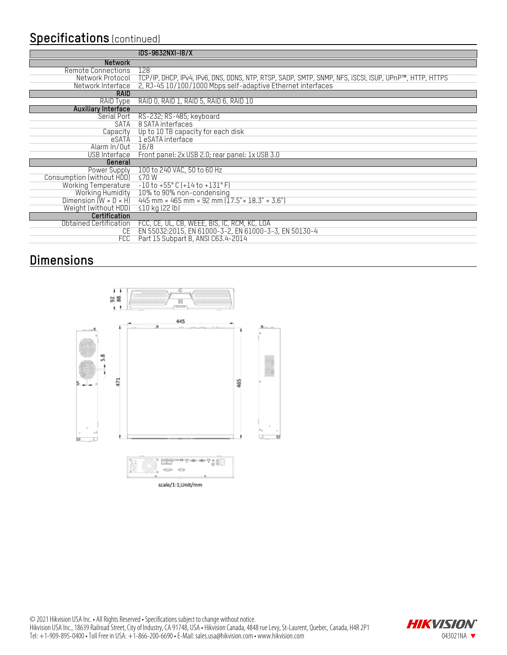### **Specifications** (continued)

|                                   | iDS-9632NXI-18/X                                                                                       |
|-----------------------------------|--------------------------------------------------------------------------------------------------------|
| <b>Network</b>                    |                                                                                                        |
| Remote Connections                | 128                                                                                                    |
| Network Protocol                  | TCP/IP, DHCP, IPv4, IPv6, DNS, DDNS, NTP, RTSP, SADP, SMTP, SNMP, NFS, ISCSI, ISUP, UPnP™, HTTP, HTTPS |
| Network Interface                 | 2, RJ-45 10/100/1000 Mbps self-adaptive Ethernet interfaces                                            |
| <b>RAID</b>                       |                                                                                                        |
| RAID Type                         | RAID 0, RAID 1, RAID 5, RAID 6, RAID 10                                                                |
| <b>Auxiliary Interface</b>        |                                                                                                        |
| Serial Port                       | RS-232; RS-485; keyboard                                                                               |
| SATA                              | 8 SATA interfaces                                                                                      |
| Capacity                          | Up to 10 TB capacity for each disk                                                                     |
| eSATA                             | 1 eSATA interface                                                                                      |
| Alarm In/Out                      | 16/8                                                                                                   |
| USB Interface                     | Front panel: 2x USB 2.0; rear panel: 1x USB 3.0                                                        |
| General                           |                                                                                                        |
| Power Supply                      | 100 to 240 VAC, 50 to 60 Hz                                                                            |
| Consumption (without HDD)         | ≤70W                                                                                                   |
| <b>Working Temperature</b>        | $-10$ to $+55^{\circ}$ C (+14 to +131°F)                                                               |
| Working Humidity                  | 10% to 90% non-condensing                                                                              |
| Dimension $(W \times D \times H)$ | 445 mm × 465 mm × 92 mm ( $17.5$ " × 18.3" × 3.6")                                                     |
| Weight (without HDD)              | $\leq$ 10 kg (22 lb)                                                                                   |
| Certification                     |                                                                                                        |
| Obtained Certification            | FCC, CE, UL, CB, WEEE, BIS, IC, RCM, KC, LOA                                                           |
| CE.                               | EN 55032:2015, EN 61000-3-2, EN 61000-3-3, EN 50130-4                                                  |
| <b>FCC</b>                        | Part 15 Subpart B, ANSI C63.4-2014                                                                     |

# **Dimensions**